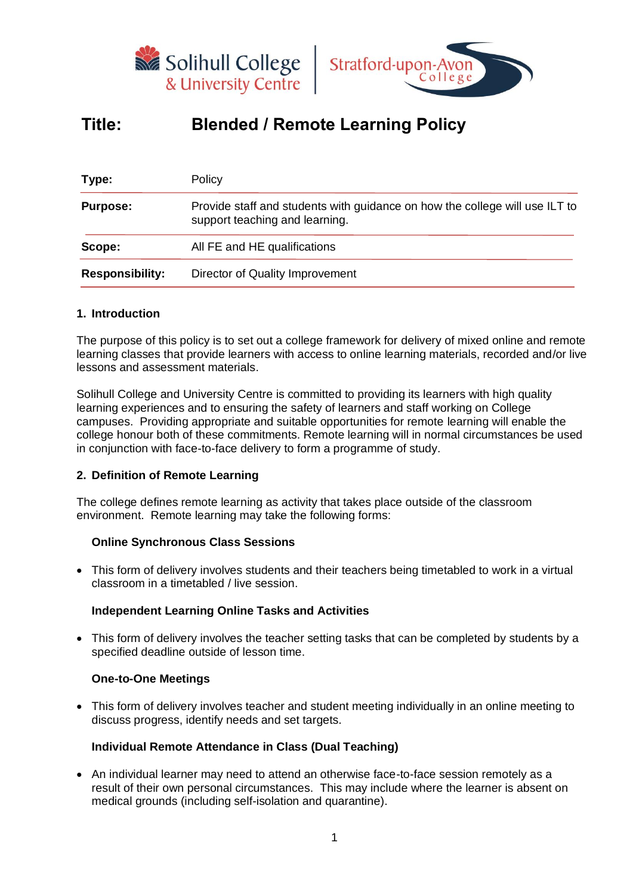



# **Title: Blended / Remote Learning Policy**

| Type:                  | Policy                                                                                                        |  |  |
|------------------------|---------------------------------------------------------------------------------------------------------------|--|--|
| <b>Purpose:</b>        | Provide staff and students with guidance on how the college will use ILT to<br>support teaching and learning. |  |  |
| Scope:                 | All FE and HE qualifications                                                                                  |  |  |
| <b>Responsibility:</b> | Director of Quality Improvement                                                                               |  |  |
|                        |                                                                                                               |  |  |

# **1. Introduction**

The purpose of this policy is to set out a college framework for delivery of mixed online and remote learning classes that provide learners with access to online learning materials, recorded and/or live lessons and assessment materials.

Solihull College and University Centre is committed to providing its learners with high quality learning experiences and to ensuring the safety of learners and staff working on College campuses. Providing appropriate and suitable opportunities for remote learning will enable the college honour both of these commitments. Remote learning will in normal circumstances be used in conjunction with face-to-face delivery to form a programme of study.

# **2. Definition of Remote Learning**

The college defines remote learning as activity that takes place outside of the classroom environment. Remote learning may take the following forms:

#### **Online Synchronous Class Sessions**

• This form of delivery involves students and their teachers being timetabled to work in a virtual classroom in a timetabled / live session.

# **Independent Learning Online Tasks and Activities**

• This form of delivery involves the teacher setting tasks that can be completed by students by a specified deadline outside of lesson time.

#### **One-to-One Meetings**

• This form of delivery involves teacher and student meeting individually in an online meeting to discuss progress, identify needs and set targets.

#### **Individual Remote Attendance in Class (Dual Teaching)**

• An individual learner may need to attend an otherwise face-to-face session remotely as a result of their own personal circumstances. This may include where the learner is absent on medical grounds (including self-isolation and quarantine).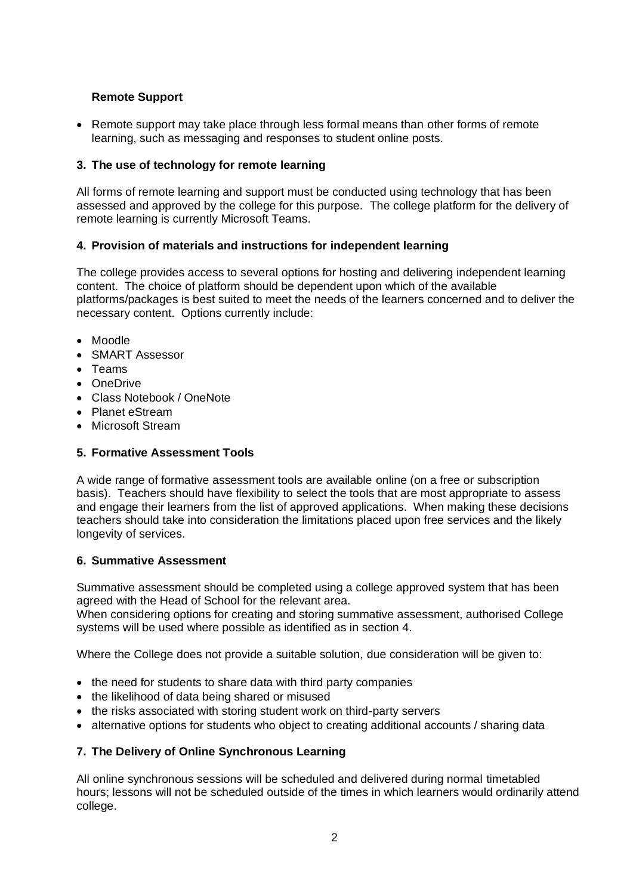# **Remote Support**

• Remote support may take place through less formal means than other forms of remote learning, such as messaging and responses to student online posts.

# **3. The use of technology for remote learning**

All forms of remote learning and support must be conducted using technology that has been assessed and approved by the college for this purpose. The college platform for the delivery of remote learning is currently Microsoft Teams.

# **4. Provision of materials and instructions for independent learning**

The college provides access to several options for hosting and delivering independent learning content. The choice of platform should be dependent upon which of the available platforms/packages is best suited to meet the needs of the learners concerned and to deliver the necessary content. Options currently include:

- Moodle
- SMART Assessor
- Teams
- OneDrive
- Class Notebook / OneNote
- Planet eStream
- Microsoft Stream

# **5. Formative Assessment Tools**

A wide range of formative assessment tools are available online (on a free or subscription basis). Teachers should have flexibility to select the tools that are most appropriate to assess and engage their learners from the list of approved applications. When making these decisions teachers should take into consideration the limitations placed upon free services and the likely longevity of services.

# **6. Summative Assessment**

Summative assessment should be completed using a college approved system that has been agreed with the Head of School for the relevant area.

When considering options for creating and storing summative assessment, authorised College systems will be used where possible as identified as in section 4.

Where the College does not provide a suitable solution, due consideration will be given to:

- the need for students to share data with third party companies
- the likelihood of data being shared or misused
- the risks associated with storing student work on third-party servers
- alternative options for students who object to creating additional accounts / sharing data

# **7. The Delivery of Online Synchronous Learning**

All online synchronous sessions will be scheduled and delivered during normal timetabled hours; lessons will not be scheduled outside of the times in which learners would ordinarily attend college.